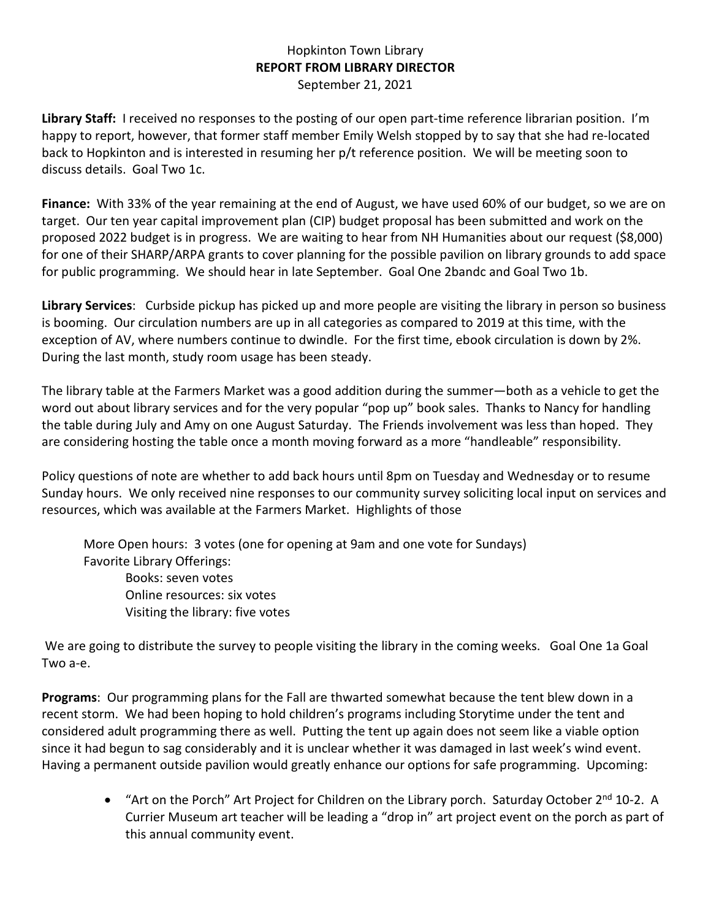## Hopkinton Town Library **REPORT FROM LIBRARY DIRECTOR** September 21, 2021

**Library Staff:** I received no responses to the posting of our open part-time reference librarian position. I'm happy to report, however, that former staff member Emily Welsh stopped by to say that she had re-located back to Hopkinton and is interested in resuming her p/t reference position. We will be meeting soon to discuss details. Goal Two 1c.

**Finance:** With 33% of the year remaining at the end of August, we have used 60% of our budget, so we are on target. Our ten year capital improvement plan (CIP) budget proposal has been submitted and work on the proposed 2022 budget is in progress. We are waiting to hear from NH Humanities about our request (\$8,000) for one of their SHARP/ARPA grants to cover planning for the possible pavilion on library grounds to add space for public programming. We should hear in late September. Goal One 2bandc and Goal Two 1b.

**Library Services**: Curbside pickup has picked up and more people are visiting the library in person so business is booming. Our circulation numbers are up in all categories as compared to 2019 at this time, with the exception of AV, where numbers continue to dwindle. For the first time, ebook circulation is down by 2%. During the last month, study room usage has been steady.

The library table at the Farmers Market was a good addition during the summer—both as a vehicle to get the word out about library services and for the very popular "pop up" book sales. Thanks to Nancy for handling the table during July and Amy on one August Saturday. The Friends involvement was less than hoped. They are considering hosting the table once a month moving forward as a more "handleable" responsibility.

Policy questions of note are whether to add back hours until 8pm on Tuesday and Wednesday or to resume Sunday hours. We only received nine responses to our community survey soliciting local input on services and resources, which was available at the Farmers Market. Highlights of those

More Open hours: 3 votes (one for opening at 9am and one vote for Sundays) Favorite Library Offerings: Books: seven votes Online resources: six votes Visiting the library: five votes

We are going to distribute the survey to people visiting the library in the coming weeks. Goal One 1a Goal Two a-e.

**Programs**: Our programming plans for the Fall are thwarted somewhat because the tent blew down in a recent storm. We had been hoping to hold children's programs including Storytime under the tent and considered adult programming there as well. Putting the tent up again does not seem like a viable option since it had begun to sag considerably and it is unclear whether it was damaged in last week's wind event. Having a permanent outside pavilion would greatly enhance our options for safe programming. Upcoming:

> • "Art on the Porch" Art Project for Children on the Library porch. Saturday October 2<sup>nd</sup> 10-2. A Currier Museum art teacher will be leading a "drop in" art project event on the porch as part of this annual community event.